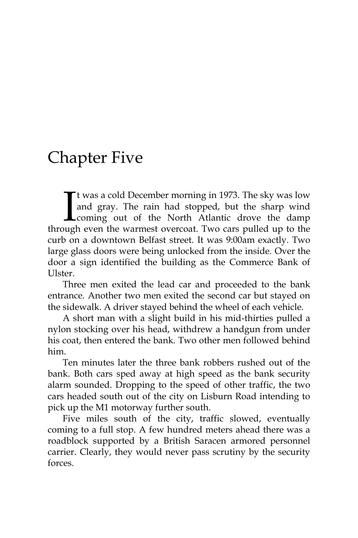## Chapter Five

t was a cold December morning in 1973. The sky was low and gray. The rain had stopped, but the sharp wind coming out of the North Atlantic drove the damp through even the warmest overcoat. Two cars pulled up to the curb on a downtown Belfast street. It was 9:00am exactly. Two large glass doors were being unlocked from the inside. Over the door a sign identified the building as the Commerce Bank of Ulster.  $\prod_{\text{min}}$ 

Three men exited the lead car and proceeded to the bank entrance. Another two men exited the second car but stayed on the sidewalk. A driver stayed behind the wheel of each vehicle.

A short man with a slight build in his mid-thirties pulled a nylon stocking over his head, withdrew a handgun from under his coat, then entered the bank. Two other men followed behind him.

Ten minutes later the three bank robbers rushed out of the bank. Both cars sped away at high speed as the bank security alarm sounded. Dropping to the speed of other traffic, the two cars headed south out of the city on Lisburn Road intending to pick up the M1 motorway further south.

Five miles south of the city, traffic slowed, eventually coming to a full stop. A few hundred meters ahead there was a roadblock supported by a British Saracen armored personnel carrier. Clearly, they would never pass scrutiny by the security forces.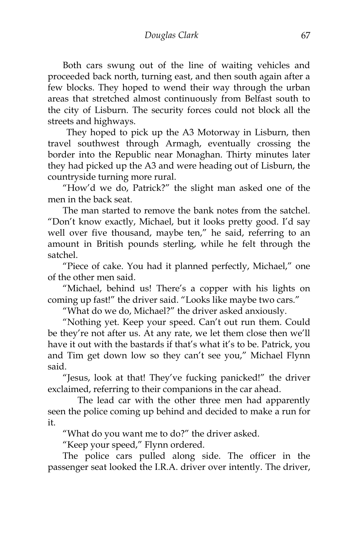Both cars swung out of the line of waiting vehicles and proceeded back north, turning east, and then south again after a few blocks. They hoped to wend their way through the urban areas that stretched almost continuously from Belfast south to the city of Lisburn. The security forces could not block all the streets and highways.

They hoped to pick up the A3 Motorway in Lisburn, then travel southwest through Armagh, eventually crossing the border into the Republic near Monaghan. Thirty minutes later they had picked up the A3 and were heading out of Lisburn, the countryside turning more rural.

"How'd we do, Patrick?" the slight man asked one of the men in the back seat.

The man started to remove the bank notes from the satchel. "Don't know exactly, Michael, but it looks pretty good. I'd say well over five thousand, maybe ten," he said, referring to an amount in British pounds sterling, while he felt through the satchel.

"Piece of cake. You had it planned perfectly, Michael," one of the other men said.

"Michael, behind us! There's a copper with his lights on coming up fast!" the driver said. "Looks like maybe two cars."

"What do we do, Michael?" the driver asked anxiously.

"Nothing yet. Keep your speed. Can't out run them. Could be they're not after us. At any rate, we let them close then we'll have it out with the bastards if that's what it's to be. Patrick, you and Tim get down low so they can't see you," Michael Flynn said.

"Jesus, look at that! They've fucking panicked!" the driver exclaimed, referring to their companions in the car ahead.

The lead car with the other three men had apparently seen the police coming up behind and decided to make a run for it.

"What do you want me to do?" the driver asked.

"Keep your speed," Flynn ordered.

The police cars pulled along side. The officer in the passenger seat looked the I.R.A. driver over intently. The driver,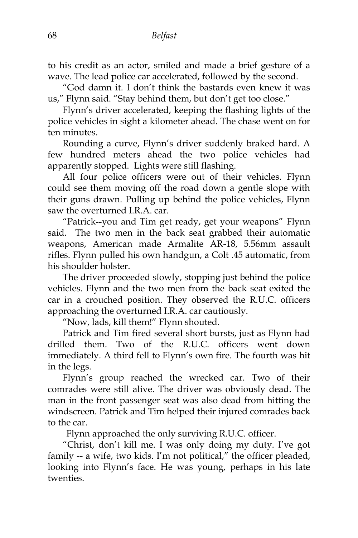to his credit as an actor, smiled and made a brief gesture of a wave. The lead police car accelerated, followed by the second.

"God damn it. I don't think the bastards even knew it was us," Flynn said. "Stay behind them, but don't get too close."

Flynn's driver accelerated, keeping the flashing lights of the police vehicles in sight a kilometer ahead. The chase went on for ten minutes.

Rounding a curve, Flynn's driver suddenly braked hard. A few hundred meters ahead the two police vehicles had apparently stopped. Lights were still flashing.

All four police officers were out of their vehicles. Flynn could see them moving off the road down a gentle slope with their guns drawn. Pulling up behind the police vehicles, Flynn saw the overturned I.R.A. car.

"Patrick--you and Tim get ready, get your weapons" Flynn said. The two men in the back seat grabbed their automatic weapons, American made Armalite AR-18, 5.56mm assault rifles. Flynn pulled his own handgun, a Colt .45 automatic, from his shoulder holster.

The driver proceeded slowly, stopping just behind the police vehicles. Flynn and the two men from the back seat exited the car in a crouched position. They observed the R.U.C. officers approaching the overturned I.R.A. car cautiously.

"Now, lads, kill them!" Flynn shouted.

Patrick and Tim fired several short bursts, just as Flynn had drilled them. Two of the R.U.C. officers went down immediately. A third fell to Flynn's own fire. The fourth was hit in the legs.

Flynn's group reached the wrecked car. Two of their comrades were still alive. The driver was obviously dead. The man in the front passenger seat was also dead from hitting the windscreen. Patrick and Tim helped their injured comrades back to the car.

Flynn approached the only surviving R.U.C. officer.

"Christ, don't kill me. I was only doing my duty. I've got family -- a wife, two kids. I'm not political," the officer pleaded, looking into Flynn's face. He was young, perhaps in his late twenties.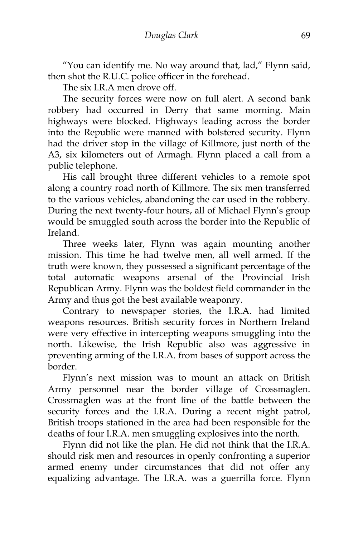"You can identify me. No way around that, lad," Flynn said, then shot the R.U.C. police officer in the forehead.

The six I.R.A men drove off.

The security forces were now on full alert. A second bank robbery had occurred in Derry that same morning. Main highways were blocked. Highways leading across the border into the Republic were manned with bolstered security. Flynn had the driver stop in the village of Killmore, just north of the A3, six kilometers out of Armagh. Flynn placed a call from a public telephone.

His call brought three different vehicles to a remote spot along a country road north of Killmore. The six men transferred to the various vehicles, abandoning the car used in the robbery. During the next twenty-four hours, all of Michael Flynn's group would be smuggled south across the border into the Republic of Ireland.

Three weeks later, Flynn was again mounting another mission. This time he had twelve men, all well armed. If the truth were known, they possessed a significant percentage of the total automatic weapons arsenal of the Provincial Irish Republican Army. Flynn was the boldest field commander in the Army and thus got the best available weaponry.

Contrary to newspaper stories, the I.R.A. had limited weapons resources. British security forces in Northern Ireland were very effective in intercepting weapons smuggling into the north. Likewise, the Irish Republic also was aggressive in preventing arming of the I.R.A. from bases of support across the border.

Flynn's next mission was to mount an attack on British Army personnel near the border village of Crossmaglen. Crossmaglen was at the front line of the battle between the security forces and the I.R.A. During a recent night patrol, British troops stationed in the area had been responsible for the deaths of four I.R.A. men smuggling explosives into the north.

Flynn did not like the plan. He did not think that the I.R.A. should risk men and resources in openly confronting a superior armed enemy under circumstances that did not offer any equalizing advantage. The I.R.A. was a guerrilla force. Flynn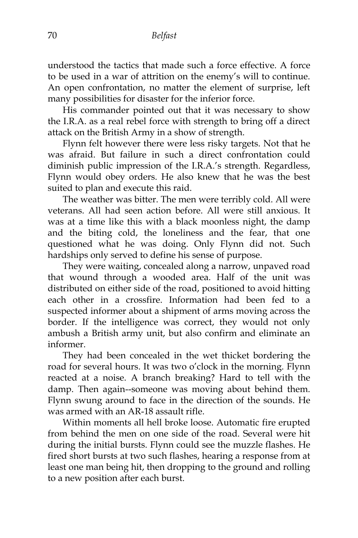understood the tactics that made such a force effective. A force to be used in a war of attrition on the enemy's will to continue. An open confrontation, no matter the element of surprise, left many possibilities for disaster for the inferior force.

His commander pointed out that it was necessary to show the I.R.A. as a real rebel force with strength to bring off a direct attack on the British Army in a show of strength.

Flynn felt however there were less risky targets. Not that he was afraid. But failure in such a direct confrontation could diminish public impression of the I.R.A.'s strength. Regardless, Flynn would obey orders. He also knew that he was the best suited to plan and execute this raid.

The weather was bitter. The men were terribly cold. All were veterans. All had seen action before. All were still anxious. It was at a time like this with a black moonless night, the damp and the biting cold, the loneliness and the fear, that one questioned what he was doing. Only Flynn did not. Such hardships only served to define his sense of purpose.

They were waiting, concealed along a narrow, unpaved road that wound through a wooded area. Half of the unit was distributed on either side of the road, positioned to avoid hitting each other in a crossfire. Information had been fed to a suspected informer about a shipment of arms moving across the border. If the intelligence was correct, they would not only ambush a British army unit, but also confirm and eliminate an informer.

They had been concealed in the wet thicket bordering the road for several hours. It was two o'clock in the morning. Flynn reacted at a noise. A branch breaking? Hard to tell with the damp. Then again--someone was moving about behind them. Flynn swung around to face in the direction of the sounds. He was armed with an AR-18 assault rifle.

Within moments all hell broke loose. Automatic fire erupted from behind the men on one side of the road. Several were hit during the initial bursts. Flynn could see the muzzle flashes. He fired short bursts at two such flashes, hearing a response from at least one man being hit, then dropping to the ground and rolling to a new position after each burst.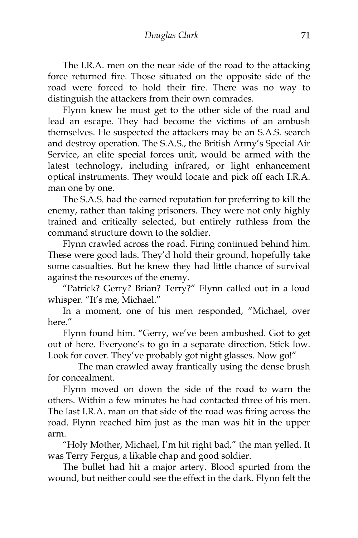The I.R.A. men on the near side of the road to the attacking force returned fire. Those situated on the opposite side of the road were forced to hold their fire. There was no way to distinguish the attackers from their own comrades.

Flynn knew he must get to the other side of the road and lead an escape. They had become the victims of an ambush themselves. He suspected the attackers may be an S.A.S. search and destroy operation. The S.A.S., the British Army's Special Air Service, an elite special forces unit, would be armed with the latest technology, including infrared, or light enhancement optical instruments. They would locate and pick off each I.R.A. man one by one.

The S.A.S. had the earned reputation for preferring to kill the enemy, rather than taking prisoners. They were not only highly trained and critically selected, but entirely ruthless from the command structure down to the soldier.

Flynn crawled across the road. Firing continued behind him. These were good lads. They'd hold their ground, hopefully take some casualties. But he knew they had little chance of survival against the resources of the enemy.

"Patrick? Gerry? Brian? Terry?" Flynn called out in a loud whisper. "It's me, Michael."

In a moment, one of his men responded, "Michael, over here."

Flynn found him. "Gerry, we've been ambushed. Got to get out of here. Everyone's to go in a separate direction. Stick low. Look for cover. They've probably got night glasses. Now go!"

The man crawled away frantically using the dense brush for concealment.

Flynn moved on down the side of the road to warn the others. Within a few minutes he had contacted three of his men. The last I.R.A. man on that side of the road was firing across the road. Flynn reached him just as the man was hit in the upper arm.

"Holy Mother, Michael, I'm hit right bad," the man yelled. It was Terry Fergus, a likable chap and good soldier.

The bullet had hit a major artery. Blood spurted from the wound, but neither could see the effect in the dark. Flynn felt the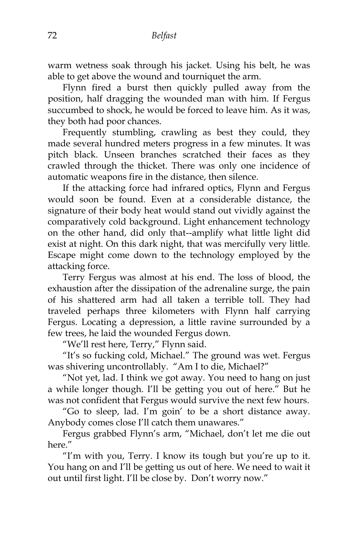warm wetness soak through his jacket. Using his belt, he was able to get above the wound and tourniquet the arm.

Flynn fired a burst then quickly pulled away from the position, half dragging the wounded man with him. If Fergus succumbed to shock, he would be forced to leave him. As it was, they both had poor chances.

Frequently stumbling, crawling as best they could, they made several hundred meters progress in a few minutes. It was pitch black. Unseen branches scratched their faces as they crawled through the thicket. There was only one incidence of automatic weapons fire in the distance, then silence.

If the attacking force had infrared optics, Flynn and Fergus would soon be found. Even at a considerable distance, the signature of their body heat would stand out vividly against the comparatively cold background. Light enhancement technology on the other hand, did only that--amplify what little light did exist at night. On this dark night, that was mercifully very little. Escape might come down to the technology employed by the attacking force.

Terry Fergus was almost at his end. The loss of blood, the exhaustion after the dissipation of the adrenaline surge, the pain of his shattered arm had all taken a terrible toll. They had traveled perhaps three kilometers with Flynn half carrying Fergus. Locating a depression, a little ravine surrounded by a few trees, he laid the wounded Fergus down.

"We'll rest here, Terry," Flynn said.

"It's so fucking cold, Michael." The ground was wet. Fergus was shivering uncontrollably. "Am I to die, Michael?"

"Not yet, lad. I think we got away. You need to hang on just a while longer though. I'll be getting you out of here." But he was not confident that Fergus would survive the next few hours.

"Go to sleep, lad. I'm goin' to be a short distance away. Anybody comes close I'll catch them unawares."

Fergus grabbed Flynn's arm, "Michael, don't let me die out here."

"I'm with you, Terry. I know its tough but you're up to it. You hang on and I'll be getting us out of here. We need to wait it out until first light. I'll be close by. Don't worry now."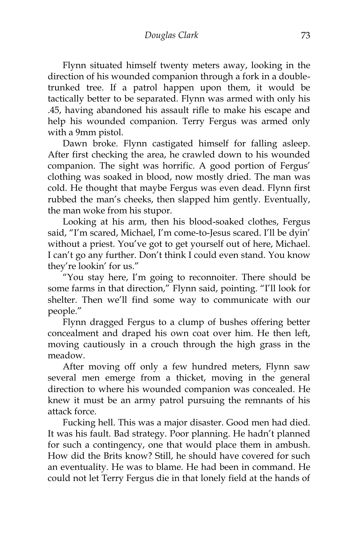Flynn situated himself twenty meters away, looking in the direction of his wounded companion through a fork in a doubletrunked tree. If a patrol happen upon them, it would be tactically better to be separated. Flynn was armed with only his .45, having abandoned his assault rifle to make his escape and help his wounded companion. Terry Fergus was armed only with a 9mm pistol.

Dawn broke. Flynn castigated himself for falling asleep. After first checking the area, he crawled down to his wounded companion. The sight was horrific. A good portion of Fergus' clothing was soaked in blood, now mostly dried. The man was cold. He thought that maybe Fergus was even dead. Flynn first rubbed the man's cheeks, then slapped him gently. Eventually, the man woke from his stupor.

Looking at his arm, then his blood-soaked clothes, Fergus said, "I'm scared, Michael, I'm come-to-Jesus scared. I'll be dyin' without a priest. You've got to get yourself out of here, Michael. I can't go any further. Don't think I could even stand. You know they're lookin' for us."

"You stay here, I'm going to reconnoiter. There should be some farms in that direction," Flynn said, pointing. "I'll look for shelter. Then we'll find some way to communicate with our people."

Flynn dragged Fergus to a clump of bushes offering better concealment and draped his own coat over him. He then left, moving cautiously in a crouch through the high grass in the meadow.

After moving off only a few hundred meters, Flynn saw several men emerge from a thicket, moving in the general direction to where his wounded companion was concealed. He knew it must be an army patrol pursuing the remnants of his attack force.

Fucking hell. This was a major disaster. Good men had died. It was his fault. Bad strategy. Poor planning. He hadn't planned for such a contingency, one that would place them in ambush. How did the Brits know? Still, he should have covered for such an eventuality. He was to blame. He had been in command. He could not let Terry Fergus die in that lonely field at the hands of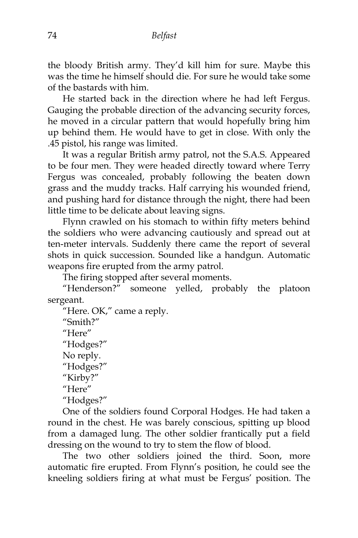the bloody British army. They'd kill him for sure. Maybe this was the time he himself should die. For sure he would take some of the bastards with him.

He started back in the direction where he had left Fergus. Gauging the probable direction of the advancing security forces, he moved in a circular pattern that would hopefully bring him up behind them. He would have to get in close. With only the .45 pistol, his range was limited.

It was a regular British army patrol, not the S.A.S. Appeared to be four men. They were headed directly toward where Terry Fergus was concealed, probably following the beaten down grass and the muddy tracks. Half carrying his wounded friend, and pushing hard for distance through the night, there had been little time to be delicate about leaving signs.

Flynn crawled on his stomach to within fifty meters behind the soldiers who were advancing cautiously and spread out at ten-meter intervals. Suddenly there came the report of several shots in quick succession. Sounded like a handgun. Automatic weapons fire erupted from the army patrol.

The firing stopped after several moments.

"Henderson?" someone yelled, probably the platoon sergeant.

"Here. OK," came a reply. "Smith?" "Here" "Hodges?" No reply. "Hodges?" "Kirby?" "Here" "Hodges?"

One of the soldiers found Corporal Hodges. He had taken a round in the chest. He was barely conscious, spitting up blood from a damaged lung. The other soldier frantically put a field dressing on the wound to try to stem the flow of blood.

The two other soldiers joined the third. Soon, more automatic fire erupted. From Flynn's position, he could see the kneeling soldiers firing at what must be Fergus' position. The